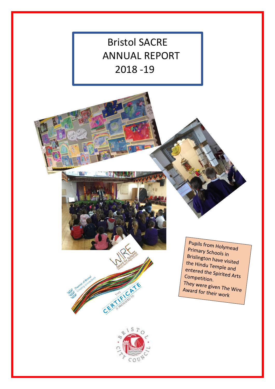

Pupils from Holymead Primary Schools in<br>Brislington L Brislington have visited<br>the Hindu Text is ited the Hindu Temple and<br>entered the Said entered the Spirited Arts<br>Competition Competition. They were given The Wire<br>Award for their way Award for their work



CER Line River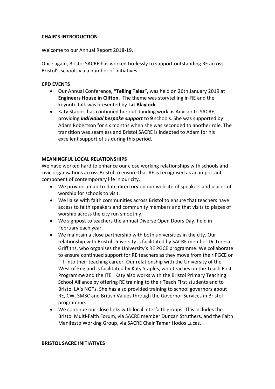## **CHAIR'S INTRODUCTION**

Welcome to our Annual Report 2018-19.

Once again, Bristol SACRE has worked tirelessly to support outstanding RE across Bristol's schools via a number of initiatives:

## **CPD EVENTS**

- Our Annual Conference, **"Telling Tales",** was held on 26th January 2019 at **Engineers House in Clifton**. The theme was storytelling in RE and the keynote talk was presented by **Lat Blaylock**.
- Katy Staples has continued her outstanding work as Advisor to SACRE, providing *individual bespoke support* to **9** schools. She was supported by Adam Robertson for six months when she was seconded to another role. The transition was seamless and Bristol SACRE is indebted to Adam for his excellent support of us during this period.

## **MEANINGFUL LOCAL RELATIONSHIPS**

We have worked hard to enhance our close working relationships with schools and civic organisations across Bristol to ensure that RE is recognised as an important component of contemporary life in our city.

- We provide an up-to-date directory on our website of speakers and places of worship for schools to visit.
- We liaise with faith communities across Bristol to ensure that teachers have access to faith speakers and community members and that visits to places of worship across the city run smoothly.
- We signpost to teachers the annual Diverse Open Doors Day, held in February each year.
- We maintain a close partnership with both universities in the city. Our relationship with Bristol University is facilitated by SACRE member Dr Teresa Griffiths, who organises the University's RE PGCE programme. We collaborate to ensure continued support for RE teachers as they move from their PGCE or ITT into their teaching career. Our relationship with the University of the West of England is facilitated by Katy Staples, who teaches on the Teach First Programme and the ITE. Katy also works with the Bristol Primary Teaching School Alliance by offering RE training to their Teach First students and to Bristol LA's NQTs. She has also provided training to school governors about RE, CW, SMSC and British Values through the Governor Services in Bristol programme.
- We continue our close links with local interfaith groups. This includes the Bristol Multi-Faith Forum, via SACRE member Duncan Struthers, and the Faith Manifesto Working Group, via SACRE Chair Tamar Hodos Lucas.

#### **BRISTOL SACRE INITIATIVES**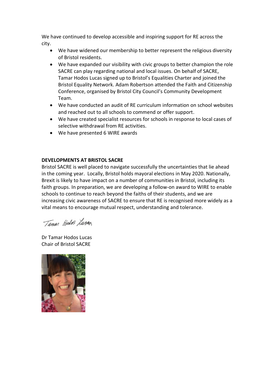We have continued to develop accessible and inspiring support for RE across the city.

- We have widened our membership to better represent the religious diversity of Bristol residents.
- We have expanded our visibility with civic groups to better champion the role SACRE can play regarding national and local issues. On behalf of SACRE, Tamar Hodos Lucas signed up to Bristol's Equalities Charter and joined the Bristol Equality Network. Adam Robertson attended the Faith and Citizenship Conference, organised by Bristol City Council's Community Development Team.
- We have conducted an audit of RE curriculum information on school websites and reached out to all schools to commend or offer support.
- We have created specialist resources for schools in response to local cases of selective withdrawal from RE activities.
- We have presented 6 WIRE awards

## **DEVELOPMENTS AT BRISTOL SACRE**

Bristol SACRE is well placed to navigate successfully the uncertainties that lie ahead in the coming year. Locally, Bristol holds mayoral elections in May 2020. Nationally, Brexit is likely to have impact on a number of communities in Bristol, including its faith groups. In preparation, we are developing a follow-on award to WIRE to enable schools to continue to reach beyond the faiths of their students, and we are increasing civic awareness of SACRE to ensure that RE is recognised more widely as a vital means to encourage mutual respect, understanding and tolerance.

Taman Wedo Lurag

Dr Tamar Hodos Lucas Chair of Bristol SACRE

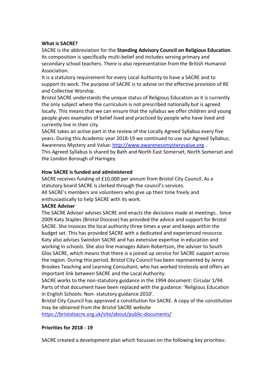### **What is SACRE?**

SACRE is the abbreviation for the **Standing Advisory Council on Religious Education**. Its composition is specifically multi-belief and includes serving primary and secondary school teachers. There is also representation from the British Humanist Association.

It is a statutory requirement for every Local Authority to have a SACRE and to support its work. The purpose of SACRE is to advise on the effective provision of RE and Collective Worship.

Bristol SACRE understands the unique status of Religious Education as it is currently the only subject where the curriculum is not prescribed nationally but is agreed locally. This means that we can ensure that the syllabus we offer children and young people gives examples of belief lived and practiced by people who have lived and currently live in their city.

SACRE takes an active part in the review of the Locally Agreed Syllabus every five years. During this Academic year 2018-19 we continued to use our Agreed Syllabus; Awareness Mystery and Value: [http://www.awarenessmysteryvalue.org](http://www.awarenessmysteryvalue.org/) . This Agreed Syllabus is shared by Bath and North East Somerset, North Somerset and the London Borough of Haringey.

## **How SACRE is funded and administered**

SACRE receives funding of £10,000 per annum from Bristol City Council. As a statutory board SACRE is clerked through the council's services. All SACRE's members are volunteers who give up their time freely and enthusiastically to help SACRE with its work.

### **SACRE Adviser**

The SACRE Adviser advises SACRE and enacts the decisions made at meetings.. Since 2009 Katy Staples (Bristol Diocese) has provided the advice and support for Bristol SACRE. She invoices the local authority three times a year and keeps within the budget set. This has provided SACRE with a dedicated and experienced resource. Katy also advises Swindon SACRE and has extensive expertise in education and working in schools. She also line manages Adam Robertson, the adviser to South Glos SACRE, which means that there is a joined up service for SACRE support across the region. During this period, Bristol City Council has been represented by Jenny Brookes Teaching and Learning Consultant, who has worked tirelessly and offers an important link between SACRE and the Local Authority.

SACRE works to the non-statutory guidance in the 1994 document: Circular 1/94. Parts of that document have been replaced with the guidance: 'Religious Education in English Schools: Non- statutory guidance 2010'.

Bristol City Council has approved a constitution for SACRE. A copy of the constitution may be obtained from the Bristol SACRE website

<https://bristolsacre.org.uk/site/about/public-documents/>

# **Priorities for 2018 - 19**

SACRE created a development plan which focusses on the following key priorities: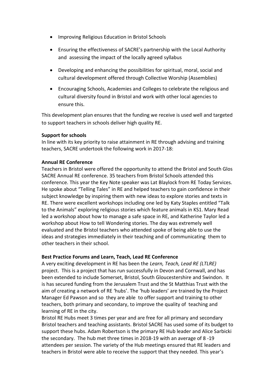- Improving Religious Education in Bristol Schools
- Ensuring the effectiveness of SACRE's partnership with the Local Authority and assessing the impact of the locally agreed syllabus
- Developing and enhancing the possibilities for spiritual, moral, social and cultural development offered through Collective Worship (Assemblies)
- Encouraging Schools, Academies and Colleges to celebrate the religious and cultural diversity found in Bristol and work with other local agencies to ensure this.

This development plan ensures that the funding we receive is used well and targeted to support teachers in schools deliver high quality RE.

## **Support for schools**

In line with its key priority to raise attainment in RE through advising and training teachers, SACRE undertook the following work in 2017-18:

## **Annual RE Conference**

Teachers in Bristol were offered the opportunity to attend the Bristol and South Glos SACRE Annual RE conference. 35 teachers from Bristol Schools attended this conference. This year the Key Note speaker was Lat Blaylock from RE Today Services. He spoke about "Telling Tales" in RE and helped teachers to gain confidence in their subject knowledge by inspiring them with new ideas to explore stories and texts in RE. There were excellent workshops including one led by Katy Staples entitled "Talk to the Animals" exploring religious stories which feature animals in KS1. Mary Read led a workshop about how to manage a safe space in RE, and Katherine Taylor led a workshop about How to tell Wondering stories. The day was extremely well evaluated and the Bristol teachers who attended spoke of being able to use the ideas and strategies immediately in their teaching and of communicating them to other teachers in their school.

### **Best Practice Forums and Learn, Teach, Lead RE Conference**

A very exciting development in RE has been the *Learn, Teach, Lead RE (LTLRE)* project. This is a project that has run successfully in Devon and Cornwall, and has been extended to include Somerset, Bristol, South Gloucestershire and Swindon. It is has secured funding from the Jerusalem Trust and the St Matthias Trust with the aim of creating a network of RE 'hubs'. The 'hub leaders' are trained by the Project Manager Ed Pawson and so they are able to offer support and training to other teachers, both primary and secondary, to improve the quality of teaching and learning of RE in the city.

Bristol RE Hubs meet 3 times per year and are free for all primary and secondary Bristol teachers and teaching assistants. Bristol SACRE has used some of its budget to support these hubs. Adam Robertson is the primary RE Hub leader and Alice Sarbicki the secondary. The hub met three times in 2018-19 with an average of 8 -19 attendees per session. The variety of the Hub meetings ensured that RE leaders and teachers in Bristol were able to receive the support that they needed. This year's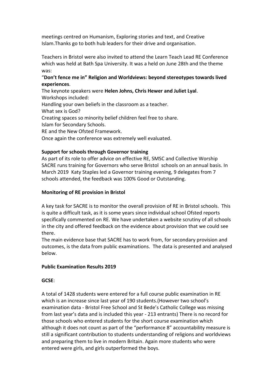meetings centred on Humanism, Exploring stories and text, and Creative Islam.Thanks go to both hub leaders for their drive and organisation.

Teachers in Bristol were also invited to attend the Learn Teach Lead RE Conference which was held at Bath Spa University. It was a held on June 28th and the theme was:

# "**Don't fence me in" Religion and Worldviews: beyond stereotypes towards lived experiences**.

The keynote speakers were **Helen Johns, Chris Hewer and Juliet Lyal**. Workshops included: Handling your own beliefs in the classroom as a teacher. What sex is God? Creating spaces so minority belief children feel free to share. Islam for Secondary Schools. RE and the New Ofsted Framework. Once again the conference was extremely well evaluated.

# **Support for schools through Governor training**

As part of its role to offer advice on effective RE, SMSC and Collective Worship SACRE runs training for Governors who serve Bristol schools on an annual basis. In March 2019 Katy Staples led a Governor training evening, 9 delegates from 7 schools attended, the feedback was 100% Good or Outstanding.

# **Monitoring of RE provision in Bristol**

A key task for SACRE is to monitor the overall provision of RE in Bristol schools. This is quite a difficult task, as it is some years since individual school Ofsted reports specifically commented on RE. We have undertaken a website scrutiny of all schools in the city and offered feedback on the evidence about provision that we could see there.

The main evidence base that SACRE has to work from, for secondary provision and outcomes, is the data from public examinations. The data is presented and analysed below.

# **Public Examination Results 2019**

# **GCSE**:

A total of 1428 students were entered for a full course public examination in RE which is an increase since last year of 190 students.(However two school's examination data - Bristol Free School and St Bede's Catholic College was missing from last year's data and is included this year - 213 entrants) There is no record for those schools who entered students for the short course examination which although it does not count as part of the "performance 8" accountability measure is still a significant contribution to students understanding of religions and worldviews and preparing them to live in modern Britain. Again more students who were entered were girls, and girls outperformed the boys.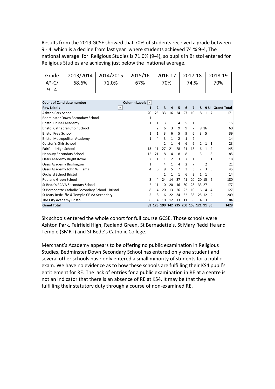Results from the 2019 GCSE showed that 70% of students received a grade between 9 - 4 which is a decline from last year where students achieved 74 % 9-4, The national average for Religious Studies is 71.0% (9-4), so pupils in Bristol entered for Religious Studies are achieving just below the national average.

| Grade     |       | 2013/2014 2014/2015 | 2015/16 | 2016-17 | 2017-18 | 2018-19 |
|-----------|-------|---------------------|---------|---------|---------|---------|
| $A^*$ -C/ | 68.6% | 71.0%               | 67%     | 70%     | 74.%    | 70%     |
| 9 - 4     |       |                     |         |         |         |         |

| <b>Count of Candidate number</b>                  | Column Labels $\blacktriangledown$ |    |                                   |               |    |    |              |       |       |     |                    |
|---------------------------------------------------|------------------------------------|----|-----------------------------------|---------------|----|----|--------------|-------|-------|-----|--------------------|
| <b>Row Labels</b>                                 | 1<br>$\overline{\phantom{a}}$      | 2  | 3                                 | 4             | 5  | 6  | 7            | 8     |       | 9 U | <b>Grand Total</b> |
| <b>Ashton Park School</b>                         | 20                                 | 25 | 33                                | 16            | 24 | 27 | 10           | 8     |       |     | 171                |
| Bedminster Down Secondary School                  | $\mathbf{1}$                       |    |                                   |               |    |    |              |       |       |     | 1                  |
| <b>Bristol Brunel Academy</b>                     | 1                                  | 1  | 3                                 |               | 4  | 5  | 1            |       |       |     | 15                 |
| <b>Bristol Cathedral Choir School</b>             |                                    | 2  | 6                                 | 3             | 9  | 9  | 7            |       | 8 1 6 |     | 60                 |
| <b>Bristol Free School</b>                        | 1                                  | 1  | 3                                 | 6             | 5  | 9  | 6            | ٩     | -5    |     | 39                 |
| Bristol Metropolitan Academy                      | 1                                  | 4  | 3                                 | 1             | 2  | 1  | 2            |       |       |     | 14                 |
| Colston's Girls School                            |                                    |    | $\mathcal{P}$                     | 1             | 4  | 6  | 6            | 2     |       | 1   | 23                 |
| Fairfield High School                             | 13                                 | 11 | 27                                | 21            | 28 | 21 | 13           | 6     | 1     | 4   | 145                |
| <b>Henbury Secondary School</b>                   | 15                                 | 21 | 18                                | 4             | 8  | 8  |              | 3     |       | 8   | 85                 |
| Oasis Academy Brightstowe                         | 2                                  | 1  | 1                                 | $\mathcal{P}$ | 3  | 7  | $\mathbf{1}$ |       |       | 1   | 18                 |
| Oasis Academy Brislington                         | 1                                  |    | 4                                 | 1             | 4  | 2  | 7            |       | 2     |     | 21                 |
| Oasis Academy John Williams                       | 4                                  | 6  | 9                                 | 5             | 7  | 3  | 3            | 2     | 3     | з   | 45                 |
| Orchard School Bristol                            |                                    |    | $\mathbf{1}$                      | 1             | 1  | 6  | 3            | 1     | 1     |     | 14                 |
| <b>Redland Green School</b>                       | 3                                  | 4  | 24                                | 14            | 37 | 41 | 20           |       | 20 15 | 2   | 180                |
| St Bede's RC VA Secondary School                  | 2                                  | 11 | 10                                | 20            | 16 | 30 | 28           | 33 27 |       |     | 177                |
| St Bernadette Catholic Secondary School - Bristol | 8                                  | 14 | 20                                | 13            | 26 | 22 | 10           | 6     | Δ     | 4   | 127                |
| St Mary Redcliffe & Temple CE VA Secondary        | 5                                  | 8  | 16                                | 22            | 34 | 52 | 33           | 25    | 12    |     | 209                |
| The City Academy Bristol                          | 6                                  | 14 | 10                                | 12            | 13 | 11 | 8            | 4     | З     | З   | 84                 |
| <b>Grand Total</b>                                | 83                                 |    | 123 190 142 225 260 158 121 91 35 |               |    |    |              |       |       |     | 1428               |

Six schools entered the whole cohort for full course GCSE. Those schools were Ashton Park, Fairfield High, Redland Green, St Bernadette's, St Mary Redcliffe and Temple (SMRT) and St Bede's Catholic College.

Merchant's Academy appears to be offering no public examination in Religious Studies, Bedminster Down Secondary School has entered only one student and several other schools have only entered a small minority of students for a public exam. We have no evidence as to how these schools are fulfilling their KS4 pupil's entitlement for RE. The lack of entries for a public examination in RE at a centre is not an indicator that there is an absence of RE at KS4. It may be that they are fulfilling their statutory duty through a course of non-examined RE.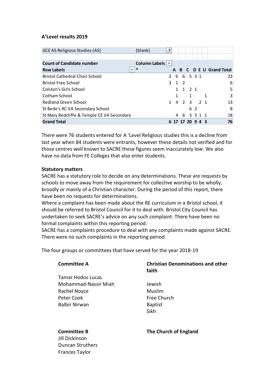## **A'Level results 2019**

| <b>GCE AS Religious Studies (AS)</b>       | (blank)                            | ÷Т |   |             |                  |     |      |   |                         |
|--------------------------------------------|------------------------------------|----|---|-------------|------------------|-----|------|---|-------------------------|
|                                            |                                    |    |   |             |                  |     |      |   |                         |
| <b>Count of Candidate number</b>           | Column Labels $\blacktriangledown$ |    |   |             |                  |     |      |   |                         |
| <b>Row Labels</b>                          | ∗<br>$\overline{\phantom{a}}$      |    |   |             |                  |     |      |   | A B C D E U Grand Total |
| <b>Bristol Cathedral Choir School</b>      |                                    | 2  |   |             | 6 6 5 3 1        |     |      |   | 23                      |
| <b>Bristol Free School</b>                 |                                    |    |   | $3 \t1 \t2$ |                  |     |      |   | 6                       |
| Colston's Girls School                     |                                    |    |   |             | 1 1 2 1          |     |      |   | 5                       |
| Cotham School                              |                                    |    | 1 |             | 1                |     |      | 1 | 3                       |
| <b>Redland Green School</b>                |                                    |    |   |             | 1 4 2 3 2 1      |     |      |   | 13                      |
| <b>St Bede's RC VA Secondary School</b>    |                                    |    |   |             |                  | 6 2 |      |   | 8                       |
| St Mary Redcliffe & Temple CE VA Secondary |                                    |    | 4 | -6          |                  |     | 3311 |   | 18                      |
| <b>Grand Total</b>                         |                                    |    |   |             | 6 17 17 20 9 4 3 |     |      |   | 76                      |

There were 76 students entered for A 'Level Religious studies this is a decline from last year when 84 students were entrants, however these details not verified and for those centres well known to SACRE these figures seem inaccurately low. We also have no data from FE Colleges that also enter students.

### **Statutory matters**

SACRE has a statutory role to decide on any determinations. These are requests by schools to move away from the requirement for collective worship to be wholly, broadly or mainly of a Christian character. During the period of this report, there have been no requests for determinations.

Where a complaint has been made about the RE curriculum in a Bristol school, it should be referred to Bristol Council for it to deal with. Bristol City Council has undertaken to seek SACRE's advice on any such complaint. There have been no formal complaints within this reporting period.

SACRE has a complaints procedure to deal with any complaints made against SACRE. There were no such complaints in the reporting period.

The four groups or committees that have served for the year 2018-19

| <b>Committee A</b>       | <b>Christian Denominations and other</b><br>faith |
|--------------------------|---------------------------------------------------|
| <b>Tamar Hodos Lucas</b> |                                                   |
| Mohammad-Nassir Miah     | Jewish                                            |
| Rachel Noyce             | Muslim                                            |
| Peter Cook               | Free Church                                       |
| <b>Balbir Nirwan</b>     | <b>Baptist</b>                                    |
|                          | Sikh                                              |
|                          |                                                   |
| <b>Committee B</b><br>.  | The Church of England                             |

Jill Dickinson Duncan Struthers Frances Taylor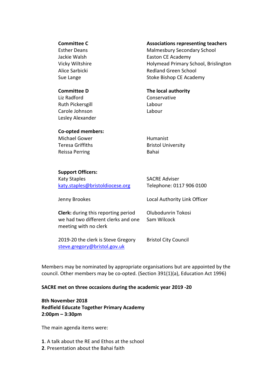#### **Committee C**

Esther Deans Jackie Walsh Vicky Wiltshire Alice Sarbicki Sue Lange

# **Associations representing teachers**

Malmesbury Secondary School Easton CE Academy Holymead Primary School, Brislington Redland Green School Stoke Bishop CE Academy

#### **Committee D**

Liz Radford Ruth Pickersgill Carole Johnson Lesley Alexander

### **The local authority**

Conservative Labour Labour

#### **Co-opted members:**

Michael Gower Teresa Griffiths Reissa Perring

Humanist Bristol University Bahai

#### **Support Officers:**

Katy Staples [katy.staples@bristoldiocese.org](mailto:katy.staples@bristoldiocese.org) SACRE Adviser Telephone: 0117 906 0100

Local Authority Link Officer

Jenny Brookes

**Clerk:** during this reporting period we had two different clerks and one meeting with no clerk

Olubodunrin Tokosi Sam Wilcock

2019-20 the clerk is Steve Gregory [steve.gregory@bristol.gov.uk](mailto:steve.gregory@bristol.gov.uk)

Bristol City Council

Members may be nominated by appropriate organisations but are appointed by the council. Other members may be co-opted. (Section 391(1)(a), Education Act 1996)

### **SACRE met on three occasions during the academic year 2019 -20**

**8th November 2018 Redfield Educate Together Primary Academy 2:00pm – 3:30pm**

The main agenda items were:

**1**. A talk about the RE and Ethos at the school

**2**. Presentation about the Bahai faith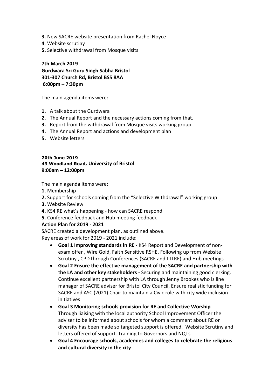- **3.** New SACRE website presentation from Rachel Noyce
- **4**, Website scrutiny
- **5.** Selective withdrawal from Mosque visits

**7th March 2019 Gurdwara Sri Guru Singh Sabha Bristol 301-307 Church Rd, Bristol BS5 8AA 6:00pm – 7:30pm**

The main agenda items were:

- **1.** A talk about the Gurdwara
- **2.** The Annual Report and the necessary actions coming from that.
- **3.** Report from the withdrawal from Mosque visits working group
- **4.** The Annual Report and actions and development plan
- **5.** Website letters

## **20th June 2019 43 Woodland Road, University of Bristol 9:00am – 12:00pm**

The main agenda items were:

- **1.** Membership
- **2.** Support for schools coming from the "Selective Withdrawal" working group
- **3.** Website Review
- **4.** KS4 RE what's happening how can SACRE respond

**5.** Conference feedback and Hub meeting feedback

# **Action Plan for 2019 - 2021**

SACRE created a development plan, as outlined above. Key areas of work for 2019 - 2021 include:

- **Goal 1 Improving standards in RE** KS4 Report and Development of nonexam offer , Wire Gold, Faith Sensitive RSHE, Following up from Website Scrutiny , CPD through Conferences (SACRE and LTLRE) and Hub meetings
- **Goal 2 Ensure the effective management of the SACRE and partnership with the LA and other key stakeholders -** Securing and maintaining good clerking. Continue excellent partnership with LA through Jenny Brookes who is line manager of SACRE adviser for Bristol City Council, Ensure realistic funding for SACRE and ASC (2021) Chair to maintain a Civic role with city wide inclusion initiatives
- **Goal 3 Monitoring schools provision for RE and Collective Worship** Through liaising with the local authority School Improvement Officer the adviser to be informed about schools for whom a comment about RE or diversity has been made so targeted support is offered. Website Scrutiny and letters offered of support. Training to Governors and NQTs
- **Goal 4 Encourage schools, academies and colleges to celebrate the religious and cultural diversity in the city**